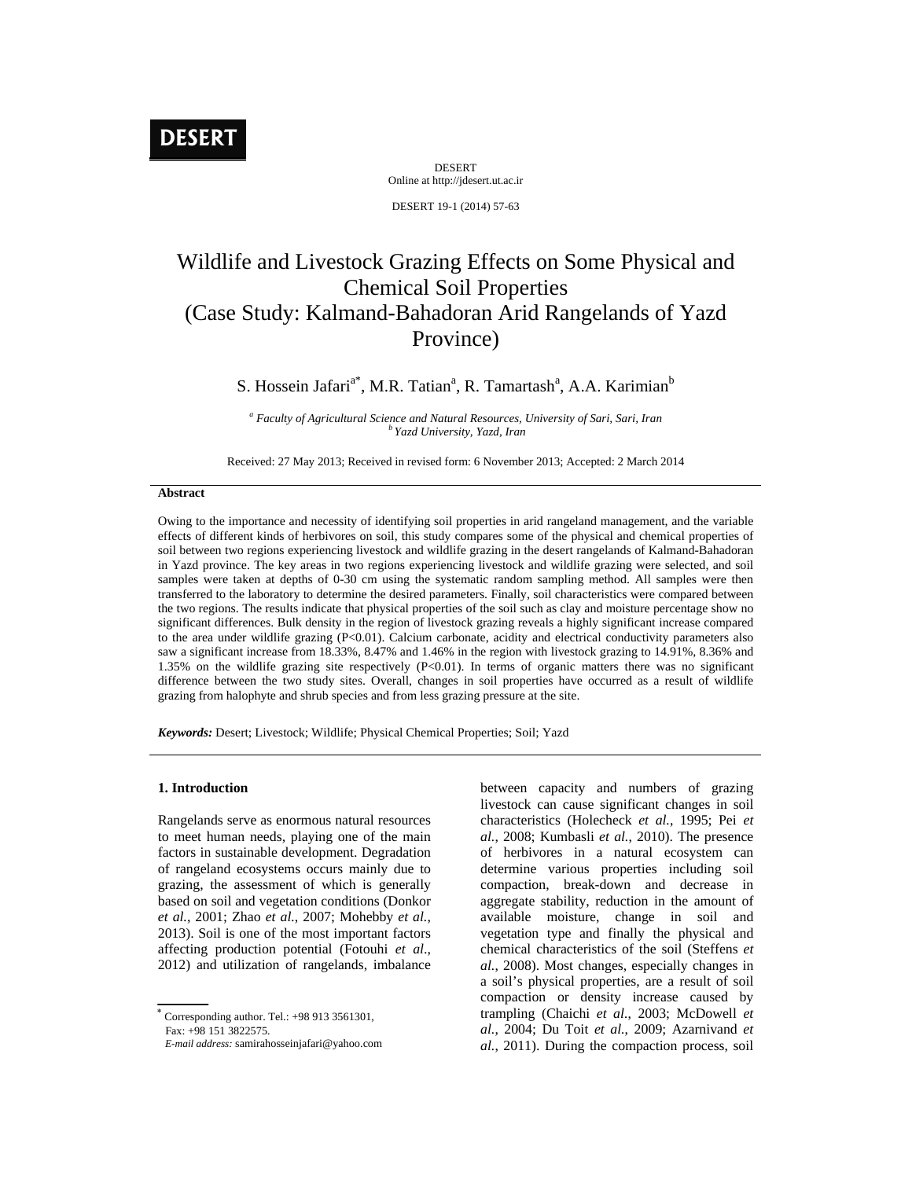# **DESERT**

DESERT Online at http://jdesert.ut.ac.ir

DESERT 19-1 (2014) 57-63

## Wildlife and Livestock Grazing Effects on Some Physical and Chemical Soil Properties (Case Study: Kalmand-Bahadoran Arid Rangelands of Yazd Province)

S. Hossein Jafari<sup>a\*</sup>, M.R. Tatian<sup>a</sup>, R. Tamartash<sup>a</sup>, A.A. Karimian<sup>b</sup>

*a Faculty of Agricultural Science and Natural Resources, University of Sari, Sari, Iran b Yazd University, Yazd, Iran*

Received: 27 May 2013; Received in revised form: 6 November 2013; Accepted: 2 March 2014

### **Abstract**

Owing to the importance and necessity of identifying soil properties in arid rangeland management, and the variable effects of different kinds of herbivores on soil, this study compares some of the physical and chemical properties of soil between two regions experiencing livestock and wildlife grazing in the desert rangelands of Kalmand-Bahadoran in Yazd province. The key areas in two regions experiencing livestock and wildlife grazing were selected, and soil samples were taken at depths of 0-30 cm using the systematic random sampling method. All samples were then transferred to the laboratory to determine the desired parameters. Finally, soil characteristics were compared between the two regions. The results indicate that physical properties of the soil such as clay and moisture percentage show no significant differences. Bulk density in the region of livestock grazing reveals a highly significant increase compared to the area under wildlife grazing (P<0.01). Calcium carbonate, acidity and electrical conductivity parameters also saw a significant increase from 18.33%, 8.47% and 1.46% in the region with livestock grazing to 14.91%, 8.36% and 1.35% on the wildlife grazing site respectively (P<0.01). In terms of organic matters there was no significant difference between the two study sites. Overall, changes in soil properties have occurred as a result of wildlife grazing from halophyte and shrub species and from less grazing pressure at the site.

*Keywords:* Desert; Livestock; Wildlife; Physical Chemical Properties; Soil; Yazd

#### **1. Introduction**

Rangelands serve as enormous natural resources to meet human needs, playing one of the main factors in sustainable development. Degradation of rangeland ecosystems occurs mainly due to grazing, the assessment of which is generally based on soil and vegetation conditions (Donkor *et al.*, 2001; Zhao *et al.*, 2007; Mohebby *et al.*, 2013). Soil is one of the most important factors affecting production potential (Fotouhi *et al*., 2012) and utilization of rangelands, imbalance

 $\ddot{\phantom{1}}$  Corresponding author. Tel.: +98 913 3561301, Fax: +98 151 3822575.

between capacity and numbers of grazing livestock can cause significant changes in soil characteristics (Holecheck *et al.*, 1995; Pei *et al.*, 2008; Kumbasli *et al.*, 2010). The presence of herbivores in a natural ecosystem can determine various properties including soil compaction, break-down and decrease in aggregate stability, reduction in the amount of available moisture, change in soil and vegetation type and finally the physical and chemical characteristics of the soil (Steffens *et al.*, 2008). Most changes, especially changes in a soil's physical properties, are a result of soil compaction or density increase caused by trampling (Chaichi *et al.*, 2003; McDowell *et al.*, 2004; Du Toit *et al.*, 2009; Azarnivand *et al.*, 2011). During the compaction process, soil

*E-mail address:* samirahosseinjafari@yahoo.com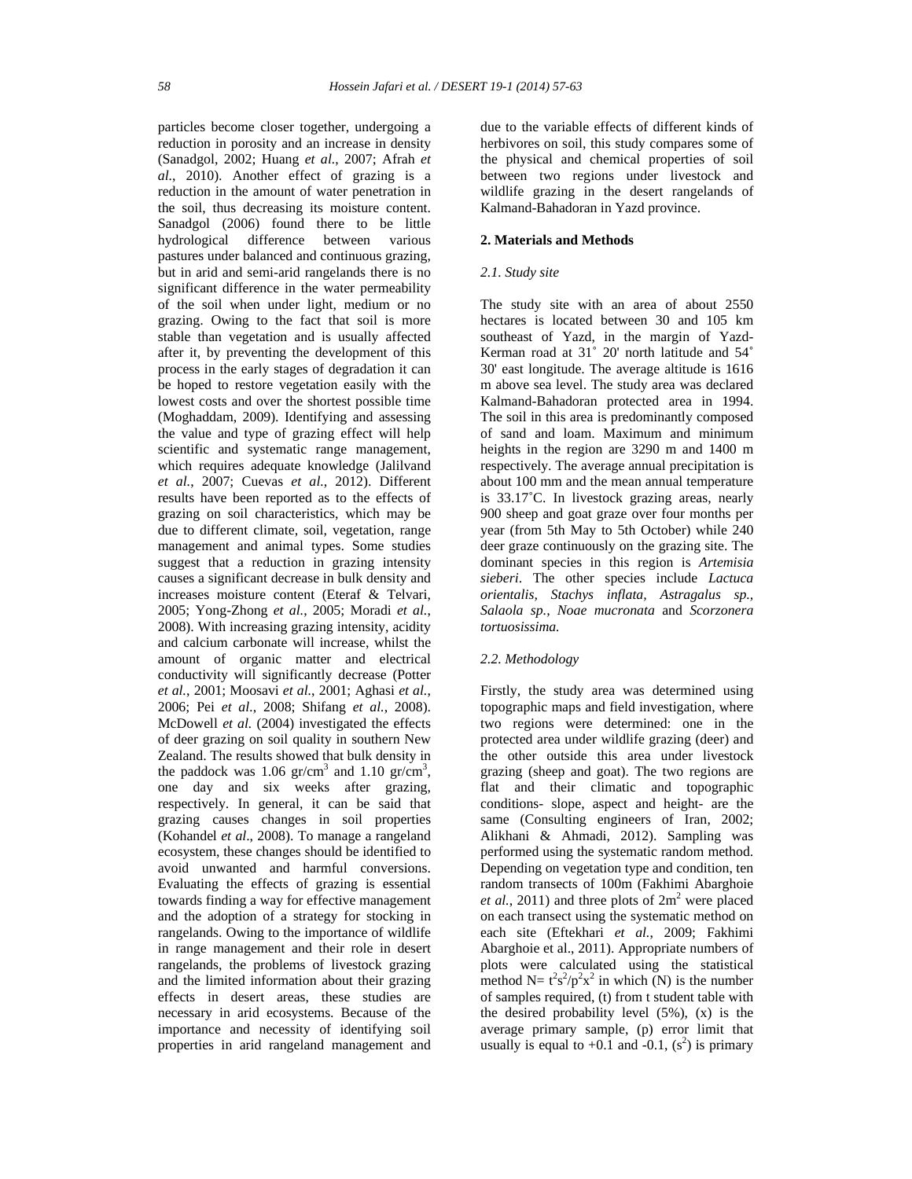particles become closer together, undergoing a reduction in porosity and an increase in density (Sanadgol, 2002; Huang *et al.*, 2007; Afrah *et al.*, 2010). Another effect of grazing is a reduction in the amount of water penetration in the soil, thus decreasing its moisture content. Sanadgol (2006) found there to be little hydrological difference between various pastures under balanced and continuous grazing, but in arid and semi-arid rangelands there is no significant difference in the water permeability of the soil when under light, medium or no grazing. Owing to the fact that soil is more stable than vegetation and is usually affected after it, by preventing the development of this process in the early stages of degradation it can be hoped to restore vegetation easily with the lowest costs and over the shortest possible time (Moghaddam, 2009). Identifying and assessing the value and type of grazing effect will help scientific and systematic range management, which requires adequate knowledge (Jalilvand *et al.*, 2007; Cuevas *et al.*, 2012). Different results have been reported as to the effects of grazing on soil characteristics, which may be due to different climate, soil, vegetation, range management and animal types. Some studies suggest that a reduction in grazing intensity causes a significant decrease in bulk density and increases moisture content (Eteraf & Telvari, 2005; Yong-Zhong *et al.*, 2005; Moradi *et al.*, 2008). With increasing grazing intensity, acidity and calcium carbonate will increase, whilst the amount of organic matter and electrical conductivity will significantly decrease (Potter *et al.*, 2001; Moosavi *et al.*, 2001; Aghasi *et al.*, 2006; Pei *et al.*, 2008; Shifang *et al.*, 2008). McDowell *et al.* (2004) investigated the effects of deer grazing on soil quality in southern New Zealand. The results showed that bulk density in the paddock was 1.06  $gr/cm^3$  and 1.10  $gr/cm^3$ , one day and six weeks after grazing, respectively. In general, it can be said that grazing causes changes in soil properties (Kohandel *et al*., 2008). To manage a rangeland ecosystem, these changes should be identified to avoid unwanted and harmful conversions. Evaluating the effects of grazing is essential towards finding a way for effective management and the adoption of a strategy for stocking in rangelands. Owing to the importance of wildlife in range management and their role in desert rangelands, the problems of livestock grazing and the limited information about their grazing effects in desert areas, these studies are necessary in arid ecosystems. Because of the importance and necessity of identifying soil properties in arid rangeland management and

due to the variable effects of different kinds of herbivores on soil, this study compares some of the physical and chemical properties of soil between two regions under livestock and wildlife grazing in the desert rangelands of Kalmand-Bahadoran in Yazd province.

#### **2. Materials and Methods**

#### *2.1. Study site*

The study site with an area of about 2550 hectares is located between 30 and 105 km southeast of Yazd, in the margin of Yazd-Kerman road at 31˚ 20' north latitude and 54˚ 30' east longitude. The average altitude is 1616 m above sea level. The study area was declared Kalmand-Bahadoran protected area in 1994. The soil in this area is predominantly composed of sand and loam. Maximum and minimum heights in the region are 3290 m and 1400 m respectively. The average annual precipitation is about 100 mm and the mean annual temperature is 33.17˚C. In livestock grazing areas, nearly 900 sheep and goat graze over four months per year (from 5th May to 5th October) while 240 deer graze continuously on the grazing site. The dominant species in this region is *Artemisia sieberi*. The other species include *Lactuca orientalis, Stachys inflata, Astragalus sp., Salaola sp., Noae mucronata* and *Scorzonera tortuosissima.*

#### *2.2. Methodology*

Firstly, the study area was determined using topographic maps and field investigation, where two regions were determined: one in the protected area under wildlife grazing (deer) and the other outside this area under livestock grazing (sheep and goat). The two regions are flat and their climatic and topographic conditions- slope, aspect and height- are the same (Consulting engineers of Iran, 2002; Alikhani & Ahmadi, 2012). Sampling was performed using the systematic random method. Depending on vegetation type and condition, ten random transects of 100m (Fakhimi Abarghoie *et al.*, 2011) and three plots of  $2m^2$  were placed on each transect using the systematic method on each site (Eftekhari *et al.*, 2009; Fakhimi Abarghoie et al., 2011). Appropriate numbers of plots were calculated using the statistical method  $N = t^2 s^2 / p^2 x^2$  in which (N) is the number of samples required, (t) from t student table with the desired probability level  $(5\%)$ ,  $(x)$  is the average primary sample, (p) error limit that usually is equal to  $+0.1$  and  $-0.1$ ,  $(s^2)$  is primary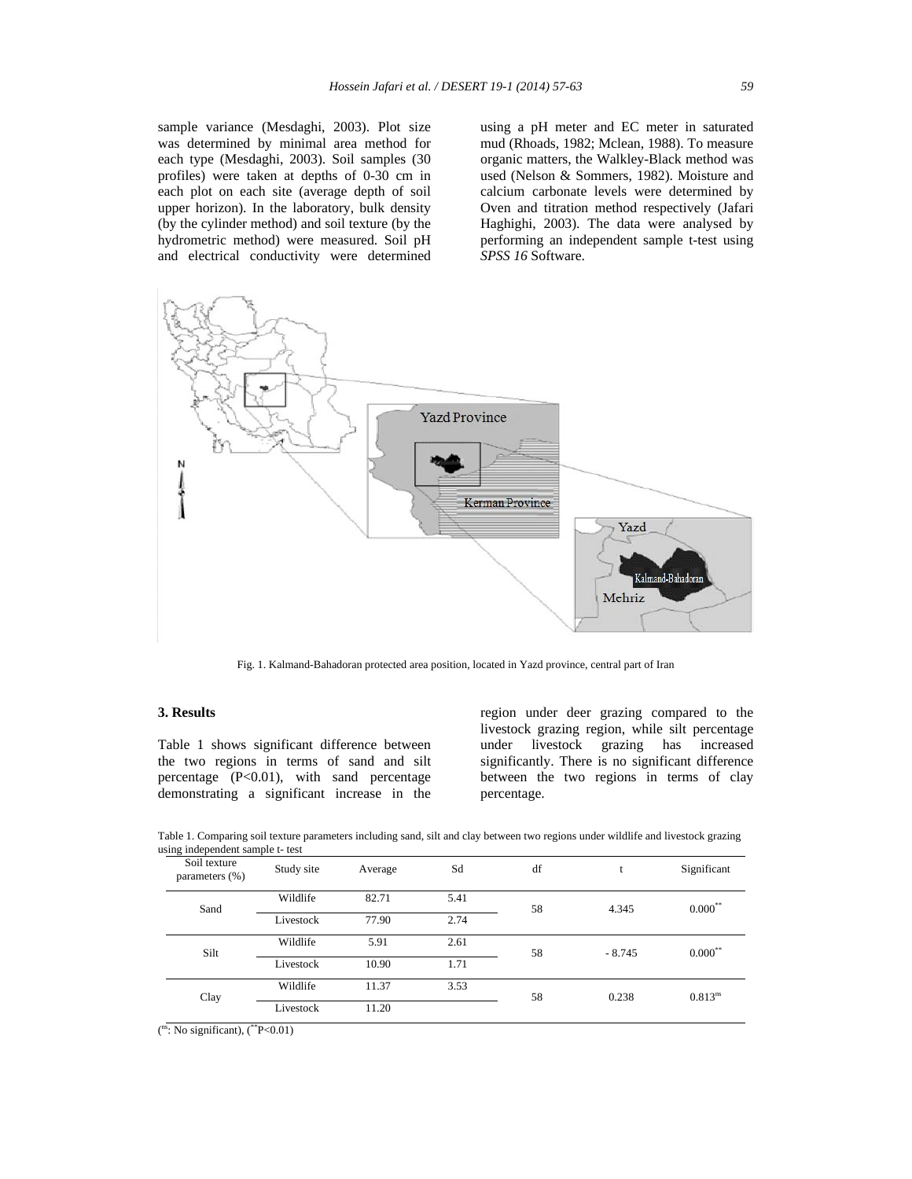sample variance (Mesdaghi, 2003). Plot size was determined by minimal area method for each type (Mesdaghi, 2003). Soil samples (30 profiles) were taken at depths of 0-30 cm in each plot on each site (average depth of soil upper horizon). In the laboratory, bulk density (by the cylinder method) and soil texture (by the hydrometric method) were measured. Soil pH and electrical conductivity were determined

using a pH meter and EC meter in saturated mud (Rhoads, 1982; Mclean, 1988). To measure organic matters, the Walkley-Black method was used (Nelson & Sommers, 1982). Moisture and calcium carbonate levels were determined by Oven and titration method respectively (Jafari Haghighi, 2003). The data were analysed by performing an independent sample t-test using *SPSS 16* Software.



Fig. 1. Kalmand-Bahadoran protected area position, located in Yazd province, central part of Iran

#### **3. Results**

Table 1 shows significant difference between the two regions in terms of sand and silt percentage (P<0.01), with sand percentage demonstrating a significant increase in the region under deer grazing compared to the livestock grazing region, while silt percentage under livestock grazing has increased significantly. There is no significant difference between the two regions in terms of clay percentage.

| $\mu$ <sub>111<math>\mu</math></sub> mae penaem sample $\mu$ test |            |         |      |    |          |              |
|-------------------------------------------------------------------|------------|---------|------|----|----------|--------------|
| Soil texture<br>parameters (%)                                    | Study site | Average | Sd   | df |          | Significant  |
| Sand                                                              | Wildlife   | 82.71   | 5.41 | 58 | 4.345    | $0.000***$   |
|                                                                   | Livestock  | 77.90   | 2.74 |    |          |              |
| Silt                                                              | Wildlife   | 5.91    | 2.61 | 58 | $-8.745$ | $0.000^{**}$ |
|                                                                   | Livestock  | 10.90   | 1.71 |    |          |              |
| Clay                                                              | Wildlife   | 11.37   | 3.53 | 58 | 0.238    | $0.813^{ns}$ |
|                                                                   | Livestock  | 11.20   |      |    |          |              |

Table 1. Comparing soil texture parameters including sand, silt and clay between two regions under wildlife and livestock grazing using independent sample t- test

 $\binom{ns}{s}$ : No significant),  $\binom{**}{s}$  P<0.01)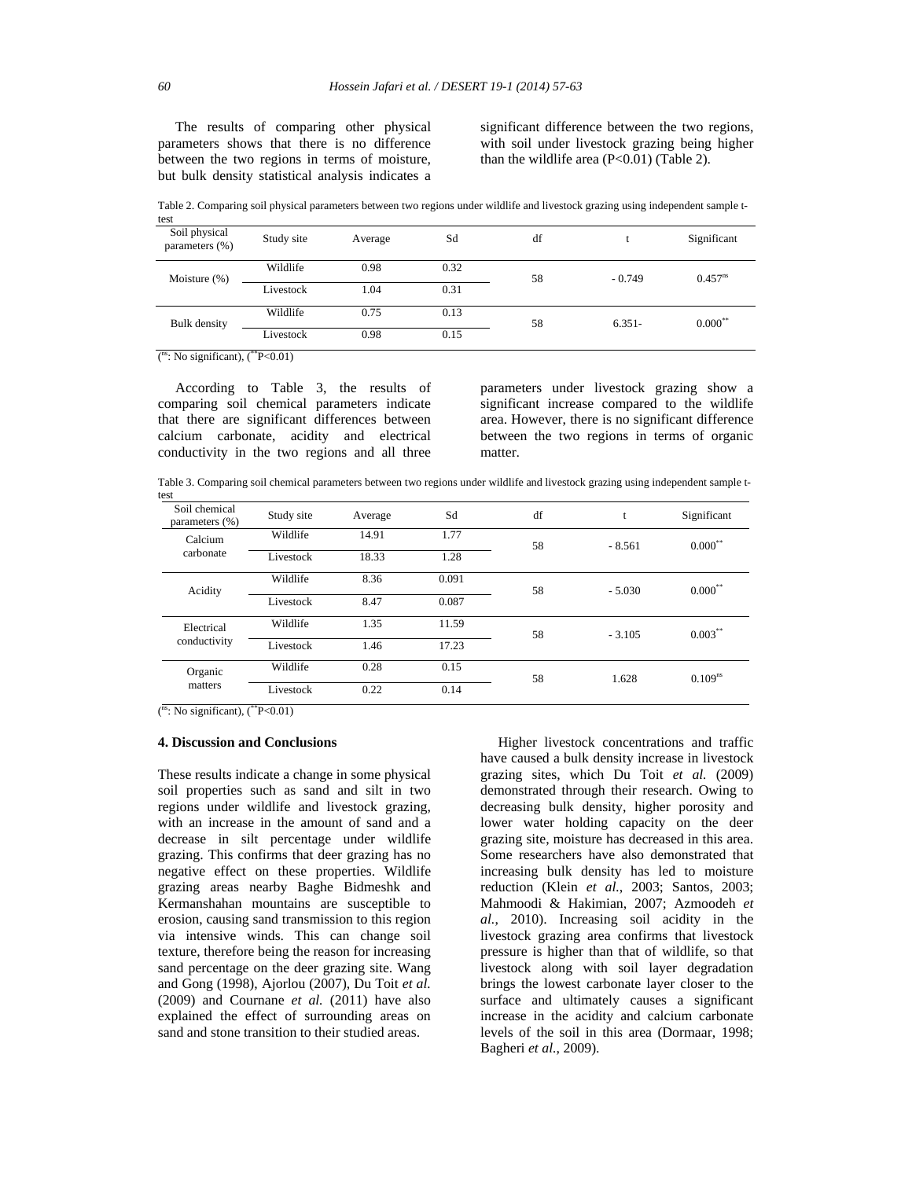The results of comparing other physical parameters shows that there is no difference between the two regions in terms of moisture, but bulk density statistical analysis indicates a significant difference between the two regions, with soil under livestock grazing being higher than the wildlife area  $(P<0.01)$  (Table 2).

Table 2. Comparing soil physical parameters between two regions under wildlife and livestock grazing using independent sample t-

| test                            |            |         |      |    |          |              |
|---------------------------------|------------|---------|------|----|----------|--------------|
| Soil physical<br>parameters (%) | Study site | Average | Sd   | df |          | Significant  |
| Moisture $(\%)$                 | Wildlife   | 0.98    | 0.32 | 58 | $-0.749$ | $0.457^{ns}$ |
|                                 | Livestock  | 1.04    | 0.31 |    |          |              |
| <b>Bulk</b> density             | Wildlife   | 0.75    | 0.13 | 58 | $6.351-$ | $0.000***$   |
|                                 | Livestock  | 0.98    | 0.15 |    |          |              |

 $\binom{ns}{k}$ : No significant),  $\binom{**}{k}$  = 0.01)

 According to Table 3, the results of comparing soil chemical parameters indicate that there are significant differences between calcium carbonate, acidity and electrical conductivity in the two regions and all three parameters under livestock grazing show a significant increase compared to the wildlife area. However, there is no significant difference between the two regions in terms of organic matter.

Table 3. Comparing soil chemical parameters between two regions under wildlife and livestock grazing using independent sample ttest

| wou                             |            |         |       |    |          |              |
|---------------------------------|------------|---------|-------|----|----------|--------------|
| Soil chemical<br>parameters (%) | Study site | Average | Sd    | df | t        | Significant  |
| Calcium<br>carbonate            | Wildlife   | 14.91   | 1.77  | 58 | $-8.561$ | $0.000***$   |
|                                 | Livestock  | 18.33   | 1.28  |    |          |              |
| Acidity                         | Wildlife   | 8.36    | 0.091 | 58 | $-5.030$ | $0.000***$   |
|                                 | Livestock  | 8.47    | 0.087 |    |          |              |
| Electrical<br>conductivity      | Wildlife   | 1.35    | 11.59 | 58 | $-3.105$ | $0.003***$   |
|                                 | Livestock  | 1.46    | 17.23 |    |          |              |
| Organic<br>matters              | Wildlife   | 0.28    | 0.15  | 58 | 1.628    | $0.109^{ns}$ |
|                                 | Livestock  | 0.22    | 0.14  |    |          |              |
|                                 |            |         |       |    |          |              |

 $\binom{ns}{s}$ : No significant),  $\binom{**}{s}$  P<0.01)

#### **4. Discussion and Conclusions**

These results indicate a change in some physical soil properties such as sand and silt in two regions under wildlife and livestock grazing, with an increase in the amount of sand and a decrease in silt percentage under wildlife grazing. This confirms that deer grazing has no negative effect on these properties. Wildlife grazing areas nearby Baghe Bidmeshk and Kermanshahan mountains are susceptible to erosion, causing sand transmission to this region via intensive winds. This can change soil texture, therefore being the reason for increasing sand percentage on the deer grazing site. Wang and Gong (1998), Ajorlou (2007), Du Toit *et al.* (2009) and Cournane *et al.* (2011) have also explained the effect of surrounding areas on sand and stone transition to their studied areas.

 Higher livestock concentrations and traffic have caused a bulk density increase in livestock grazing sites, which Du Toit *et al.* (2009) demonstrated through their research. Owing to decreasing bulk density, higher porosity and lower water holding capacity on the deer grazing site, moisture has decreased in this area. Some researchers have also demonstrated that increasing bulk density has led to moisture reduction (Klein *et al.*, 2003; Santos, 2003; Mahmoodi & Hakimian, 2007; Azmoodeh *et al.*, 2010). Increasing soil acidity in the livestock grazing area confirms that livestock pressure is higher than that of wildlife, so that livestock along with soil layer degradation brings the lowest carbonate layer closer to the surface and ultimately causes a significant increase in the acidity and calcium carbonate levels of the soil in this area (Dormaar, 1998; Bagheri *et al.*, 2009).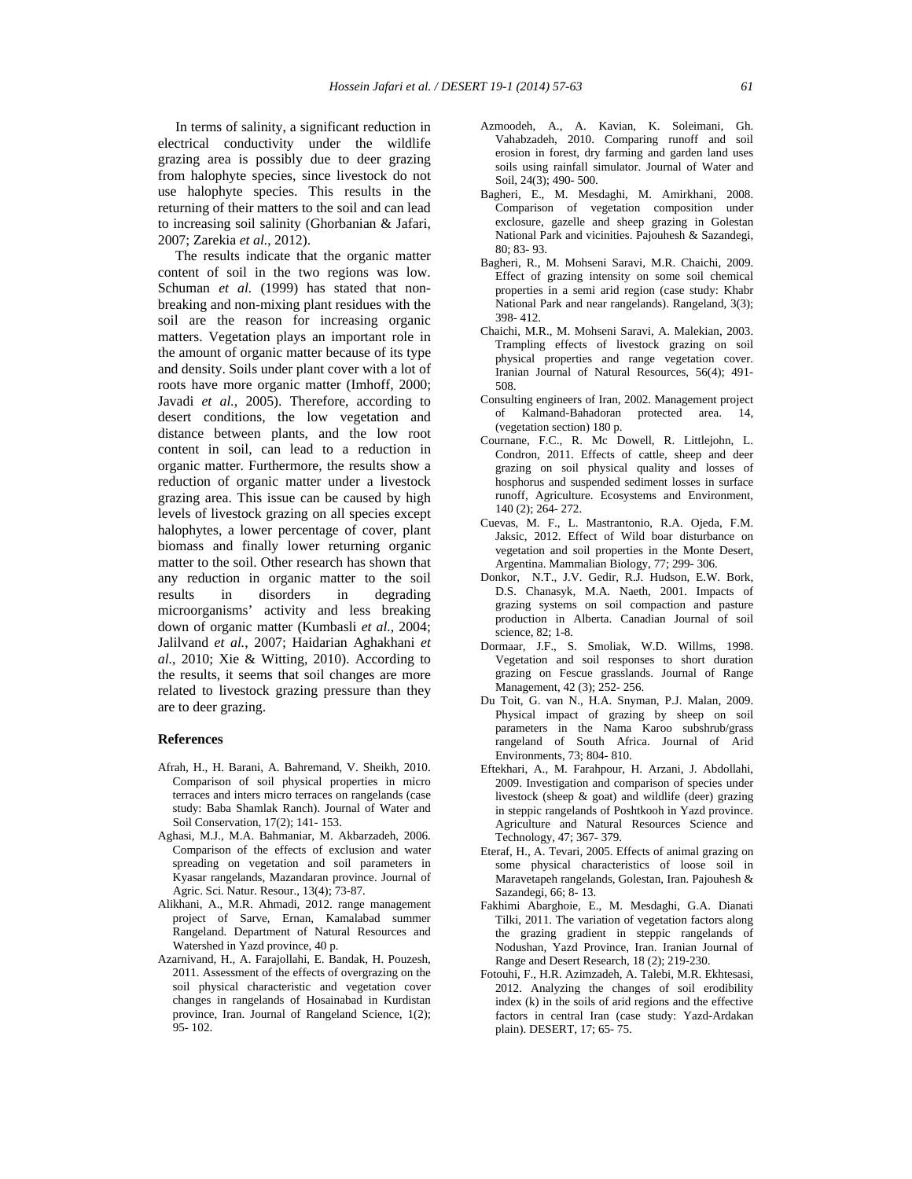In terms of salinity, a significant reduction in electrical conductivity under the wildlife grazing area is possibly due to deer grazing from halophyte species, since livestock do not use halophyte species. This results in the returning of their matters to the soil and can lead to increasing soil salinity (Ghorbanian & Jafari, 2007; Zarekia *et al.*, 2012).

 The results indicate that the organic matter content of soil in the two regions was low. Schuman *et al.* (1999) has stated that nonbreaking and non-mixing plant residues with the soil are the reason for increasing organic matters. Vegetation plays an important role in the amount of organic matter because of its type and density. Soils under plant cover with a lot of roots have more organic matter (Imhoff, 2000; Javadi *et al.*, 2005). Therefore, according to desert conditions, the low vegetation and distance between plants, and the low root content in soil, can lead to a reduction in organic matter. Furthermore, the results show a reduction of organic matter under a livestock grazing area. This issue can be caused by high levels of livestock grazing on all species except halophytes, a lower percentage of cover, plant biomass and finally lower returning organic matter to the soil. Other research has shown that any reduction in organic matter to the soil results in disorders in degrading microorganisms' activity and less breaking down of organic matter (Kumbasli *et al.*, 2004; Jalilvand *et al.*, 2007; Haidarian Aghakhani *et al.*, 2010; Xie & Witting, 2010). According to the results, it seems that soil changes are more related to livestock grazing pressure than they are to deer grazing.

#### **References**

- Afrah, H., H. Barani, A. Bahremand, V. Sheikh, 2010. Comparison of soil physical properties in micro terraces and inters micro terraces on rangelands (case study: Baba Shamlak Ranch). Journal of Water and Soil Conservation, 17(2); 141- 153.
- Aghasi, M.J., M.A. Bahmaniar, M. Akbarzadeh, 2006. Comparison of the effects of exclusion and water spreading on vegetation and soil parameters in Kyasar rangelands, Mazandaran province. Journal of Agric. Sci. Natur. Resour., 13(4); 73-87.
- Alikhani, A., M.R. Ahmadi, 2012. range management project of Sarve, Ernan, Kamalabad summer Rangeland. Department of Natural Resources and Watershed in Yazd province, 40 p.
- Azarnivand, H., A. Farajollahi, E. Bandak, H. Pouzesh, 2011. Assessment of the effects of overgrazing on the soil physical characteristic and vegetation cover changes in rangelands of Hosainabad in Kurdistan province, Iran. Journal of Rangeland Science, 1(2); 95- 102.
- Azmoodeh, A., A. Kavian, K. Soleimani, Gh. Vahabzadeh, 2010. Comparing runoff and soil erosion in forest, dry farming and garden land uses soils using rainfall simulator. Journal of Water and Soil, 24(3); 490- 500.
- Bagheri, E., M. Mesdaghi, M. Amirkhani, 2008. Comparison of vegetation composition under exclosure, gazelle and sheep grazing in Golestan National Park and vicinities. Pajouhesh & Sazandegi, 80; 83- 93.
- Bagheri, R., M. Mohseni Saravi, M.R. Chaichi, 2009. Effect of grazing intensity on some soil chemical properties in a semi arid region (case study: Khabr National Park and near rangelands). Rangeland, 3(3); 398- 412.
- Chaichi, M.R., M. Mohseni Saravi, A. Malekian, 2003. Trampling effects of livestock grazing on soil physical properties and range vegetation cover. Iranian Journal of Natural Resources, 56(4); 491- 508.
- Consulting engineers of Iran, 2002. Management project of Kalmand-Bahadoran protected area. 14, (vegetation section) 180 p.
- Cournane, F.C., R. Mc Dowell, R. Littlejohn, L. Condron, 2011. Effects of cattle, sheep and deer grazing on soil physical quality and losses of hosphorus and suspended sediment losses in surface runoff, Agriculture. Ecosystems and Environment, 140 (2); 264- 272.
- Cuevas, M. F., L. Mastrantonio, R.A. Ojeda, F.M. Jaksic, 2012. Effect of Wild boar disturbance on vegetation and soil properties in the Monte Desert, Argentina. Mammalian Biology, 77; 299- 306.
- Donkor, N.T., J.V. Gedir, R.J. Hudson, E.W. Bork, D.S. Chanasyk, M.A. Naeth, 2001. Impacts of grazing systems on soil compaction and pasture production in Alberta. Canadian Journal of soil science, 82; 1-8.
- Dormaar, J.F., S. Smoliak, W.D. Willms, 1998. Vegetation and soil responses to short duration grazing on Fescue grasslands. Journal of Range Management, 42 (3); 252- 256.
- Du Toit, G. van N., H.A. Snyman, P.J. Malan, 2009. Physical impact of grazing by sheep on soil parameters in the Nama Karoo subshrub/grass rangeland of South Africa. Journal of Arid Environments, 73; 804- 810.
- Eftekhari, A., M. Farahpour, H. Arzani, J. Abdollahi, 2009. Investigation and comparison of species under livestock (sheep & goat) and wildlife (deer) grazing in steppic rangelands of Poshtkooh in Yazd province. Agriculture and Natural Resources Science and Technology, 47; 367- 379.
- Eteraf, H., A. Tevari, 2005. Effects of animal grazing on some physical characteristics of loose soil in Maravetapeh rangelands, Golestan, Iran. Pajouhesh & Sazandegi, 66; 8- 13.
- Fakhimi Abarghoie, E., M. Mesdaghi, G.A. Dianati Tilki, 2011. The variation of vegetation factors along the grazing gradient in steppic rangelands of Nodushan, Yazd Province, Iran. Iranian Journal of Range and Desert Research, 18 (2); 219-230.
- Fotouhi, F., H.R. Azimzadeh, A. Talebi, M.R. Ekhtesasi, 2012. Analyzing the changes of soil erodibility index (k) in the soils of arid regions and the effective factors in central Iran (case study: Yazd-Ardakan plain). DESERT, 17; 65- 75.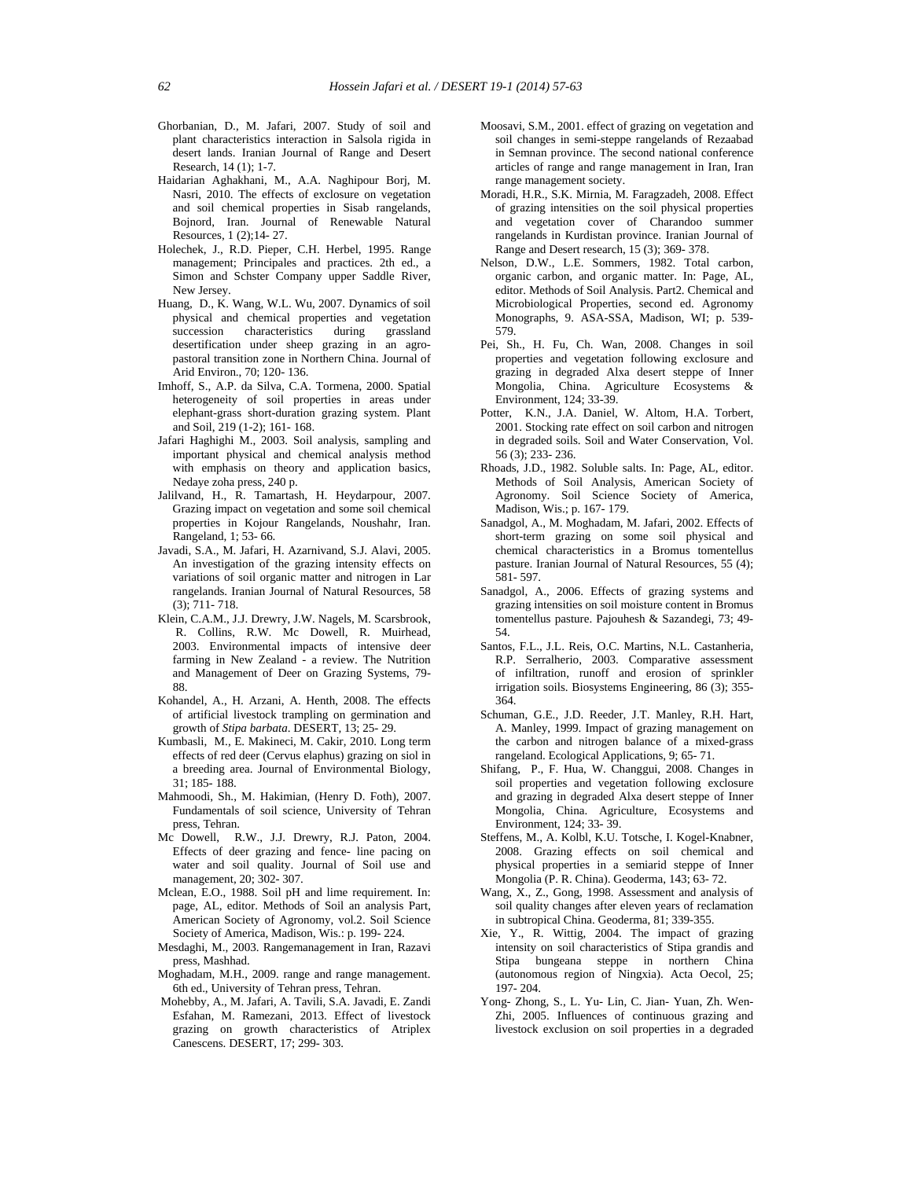- Ghorbanian, D., M. Jafari, 2007. Study of soil and plant characteristics interaction in Salsola rigida in desert lands. Iranian Journal of Range and Desert Research, 14 (1); 1-7.
- Haidarian Aghakhani, M., A.A. Naghipour Borj, M. Nasri, 2010. The effects of exclosure on vegetation and soil chemical properties in Sisab rangelands, Bojnord, Iran. Journal of Renewable Natural Resources, 1 (2);14- 27.
- Holechek, J., R.D. Pieper, C.H. Herbel, 1995. Range management; Principales and practices. 2th ed., a Simon and Schster Company upper Saddle River, New Jersey.
- Huang, D., K. Wang, W.L. Wu, 2007. Dynamics of soil physical and chemical properties and vegetation<br>succession characteristics during grassland succession characteristics during desertification under sheep grazing in an agro pastoral transition zone in Northern China. Journal of Arid Environ., 70; 120- 136.
- Imhoff, S., A.P. da Silva, C.A. Tormena, 2000. Spatial heterogeneity of soil properties in areas under elephant-grass short-duration grazing system. Plant and Soil, 219 (1-2); 161- 168.
- Jafari Haghighi M., 2003. Soil analysis, sampling and important physical and chemical analysis method with emphasis on theory and application basics, Nedaye zoha press, 240 p.
- Jalilvand, H., R. Tamartash, H. Heydarpour, 2007. Grazing impact on vegetation and some soil chemical properties in Kojour Rangelands, Noushahr, Iran. Rangeland, 1; 53- 66.
- Javadi, S.A., M. Jafari, H. Azarnivand, S.J. Alavi, 2005. An investigation of the grazing intensity effects on variations of soil organic matter and nitrogen in Lar rangelands. Iranian Journal of Natural Resources, 58 (3); 711- 718.
- Klein, C.A.M., J.J. Drewry, J.W. Nagels, M. Scarsbrook, R. Collins, R.W. Mc Dowell, R. Muirhead, 2003. Environmental impacts of intensive deer farming in New Zealand - a review. The Nutrition and Management of Deer on Grazing Systems, 79- 88.
- Kohandel, A., H. Arzani, A. Henth, 2008. The effects of artificial livestock trampling on germination and growth of *Stipa barbata*. DESERT, 13; 25- 29.
- Kumbasli, M., E. Makineci, M. Cakir, 2010. Long term effects of red deer (Cervus elaphus) grazing on siol in a breeding area. Journal of Environmental Biology, 31; 185- 188.
- Mahmoodi, Sh., M. Hakimian, (Henry D. Foth), 2007. Fundamentals of soil science, University of Tehran press, Tehran.
- Mc Dowell, R.W., J.J. Drewry, R.J. Paton, 2004. Effects of deer grazing and fence- line pacing on water and soil quality. Journal of Soil use and management, 20; 302- 307.
- Mclean, E.O., 1988. Soil pH and lime requirement. In: page, AL, editor. Methods of Soil an analysis Part, American Society of Agronomy, vol.2. Soil Science Society of America, Madison, Wis.: p. 199- 224.
- Mesdaghi, M., 2003. Rangemanagement in Iran, Razavi press, Mashhad.
- Moghadam, M.H., 2009. range and range management. 6th ed., University of Tehran press, Tehran.
- Mohebby, A., M. Jafari, A. Tavili, S.A. Javadi, E. Zandi Esfahan, M. Ramezani, 2013. Effect of livestock grazing on growth characteristics of Atriplex Canescens. DESERT, 17; 299- 303.
- Moosavi, S.M., 2001. effect of grazing on vegetation and soil changes in semi-steppe rangelands of Rezaabad in Semnan province. The second national conference articles of range and range management in Iran, Iran range management society.
- Moradi, H.R., S.K. Mirnia, M. Faragzadeh, 2008. Effect of grazing intensities on the soil physical properties and vegetation cover of Charandoo summer rangelands in Kurdistan province. Iranian Journal of Range and Desert research, 15 (3); 369- 378.
- Nelson, D.W., L.E. Sommers, 1982. Total carbon, organic carbon, and organic matter. In: Page, AL, editor. Methods of Soil Analysis. Part2. Chemical and Microbiological Properties, second ed. Agronomy Monographs, 9. ASA-SSA, Madison, WI; p. 539- 579.
- Pei, Sh., H. Fu, Ch. Wan, 2008. Changes in soil properties and vegetation following exclosure and grazing in degraded Alxa desert steppe of Inner Mongolia, China. Agriculture Ecosystems & Environment, 124; 33-39.
- Potter, K.N., J.A. Daniel, W. Altom, H.A. Torbert, 2001. Stocking rate effect on soil carbon and nitrogen in degraded soils. Soil and Water Conservation, Vol. 56 (3); 233- 236.
- Rhoads, J.D., 1982. Soluble salts. In: Page, AL, editor. Methods of Soil Analysis, American Society of Agronomy. Soil Science Society of America, Madison, Wis.; p. 167- 179.
- Sanadgol, A., M. Moghadam, M. Jafari, 2002. Effects of short-term grazing on some soil physical and chemical characteristics in a Bromus tomentellus pasture. Iranian Journal of Natural Resources, 55 (4); 581- 597.
- Sanadgol, A., 2006. Effects of grazing systems and grazing intensities on soil moisture content in Bromus tomentellus pasture. Pajouhesh & Sazandegi, 73; 49- 54.
- Santos, F.L., J.L. Reis, O.C. Martins, N.L. Castanheria, R.P. Serralherio, 2003. Comparative assessment of infiltration, runoff and erosion of sprinkler irrigation soils. Biosystems Engineering, 86 (3); 355- 364.
- Schuman, G.E., J.D. Reeder, J.T. Manley, R.H. Hart, A. Manley, 1999. Impact of grazing management on the carbon and nitrogen balance of a mixed-grass rangeland. Ecological Applications, 9; 65- 71.
- Shifang, P., F. Hua, W. Changgui, 2008. Changes in soil properties and vegetation following exclosure and grazing in degraded Alxa desert steppe of Inner Mongolia, China. Agriculture, Ecosystems and Environment, 124; 33- 39.
- Steffens, M., A. Kolbl, K.U. Totsche, I. Kogel-Knabner, 2008. Grazing effects on soil chemical and physical properties in a semiarid steppe of Inner Mongolia (P. R. China). Geoderma, 143; 63- 72.
- Wang, X., Z., Gong, 1998. Assessment and analysis of soil quality changes after eleven years of reclamation in subtropical China. Geoderma, 81; 339-355.
- Xie, Y., R. Wittig, 2004. The impact of grazing intensity on soil characteristics of Stipa grandis and Stipa bungeana steppe in northern China (autonomous region of Ningxia). Acta Oecol, 25; 197- 204.
- Yong- Zhong, S., L. Yu- Lin, C. Jian- Yuan, Zh. Wen- Zhi, 2005. Influences of continuous grazing and livestock exclusion on soil properties in a degraded